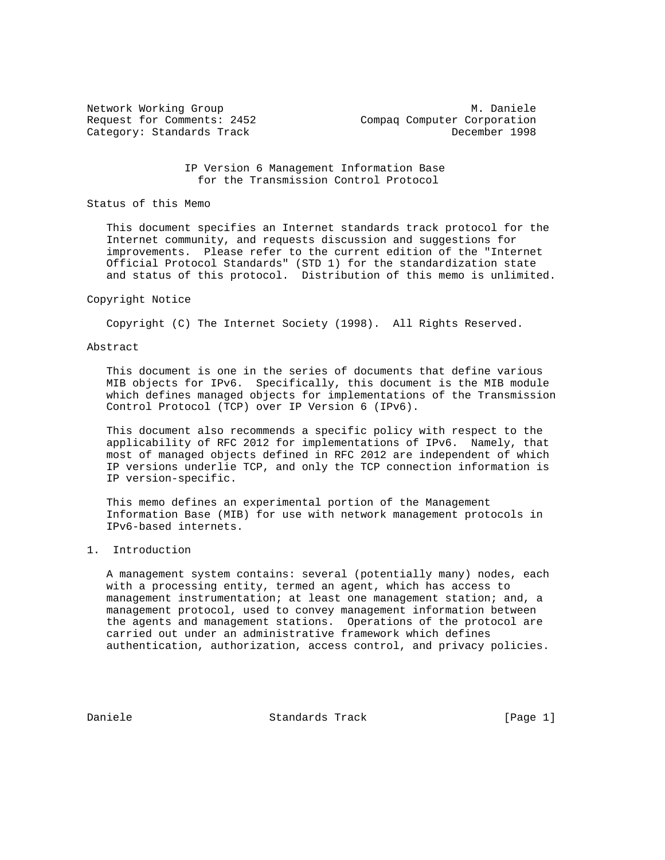Network Working Group M. Daniele<br>Request for Comments: 2452 Compaq Computer Corporation Compaq Computer Corporation Category: Standards Track December 1998

> IP Version 6 Management Information Base for the Transmission Control Protocol

## Status of this Memo

 This document specifies an Internet standards track protocol for the Internet community, and requests discussion and suggestions for improvements. Please refer to the current edition of the "Internet Official Protocol Standards" (STD 1) for the standardization state and status of this protocol. Distribution of this memo is unlimited.

### Copyright Notice

Copyright (C) The Internet Society (1998). All Rights Reserved.

## Abstract

 This document is one in the series of documents that define various MIB objects for IPv6. Specifically, this document is the MIB module which defines managed objects for implementations of the Transmission Control Protocol (TCP) over IP Version 6 (IPv6).

 This document also recommends a specific policy with respect to the applicability of RFC 2012 for implementations of IPv6. Namely, that most of managed objects defined in RFC 2012 are independent of which IP versions underlie TCP, and only the TCP connection information is IP version-specific.

 This memo defines an experimental portion of the Management Information Base (MIB) for use with network management protocols in IPv6-based internets.

# 1. Introduction

 A management system contains: several (potentially many) nodes, each with a processing entity, termed an agent, which has access to management instrumentation; at least one management station; and, a management protocol, used to convey management information between the agents and management stations. Operations of the protocol are carried out under an administrative framework which defines authentication, authorization, access control, and privacy policies.

Daniele Standards Track [Page 1]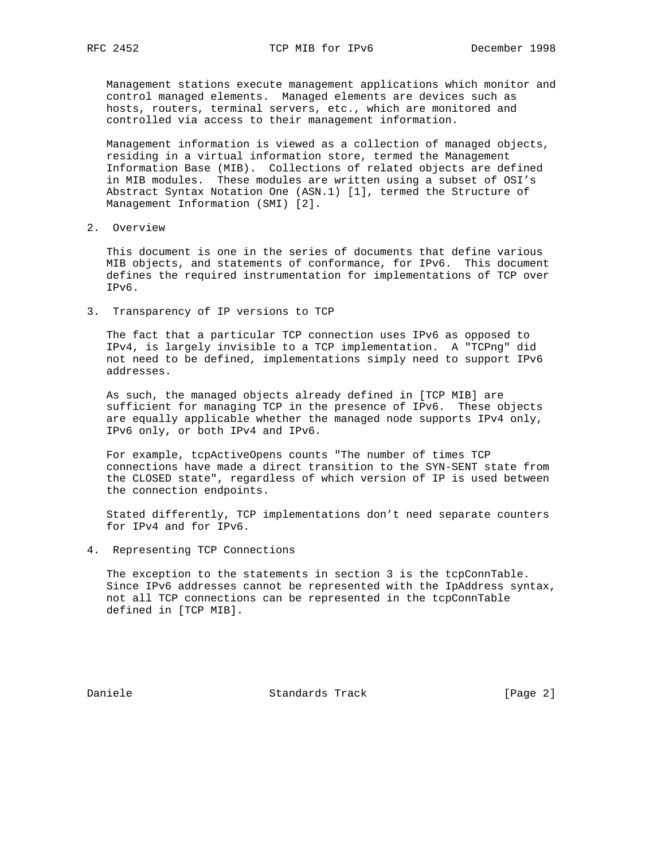Management stations execute management applications which monitor and control managed elements. Managed elements are devices such as hosts, routers, terminal servers, etc., which are monitored and controlled via access to their management information.

 Management information is viewed as a collection of managed objects, residing in a virtual information store, termed the Management Information Base (MIB). Collections of related objects are defined in MIB modules. These modules are written using a subset of OSI's Abstract Syntax Notation One (ASN.1) [1], termed the Structure of Management Information (SMI) [2].

2. Overview

 This document is one in the series of documents that define various MIB objects, and statements of conformance, for IPv6. This document defines the required instrumentation for implementations of TCP over IPv6.

3. Transparency of IP versions to TCP

 The fact that a particular TCP connection uses IPv6 as opposed to IPv4, is largely invisible to a TCP implementation. A "TCPng" did not need to be defined, implementations simply need to support IPv6 addresses.

 As such, the managed objects already defined in [TCP MIB] are sufficient for managing TCP in the presence of IPv6. These objects are equally applicable whether the managed node supports IPv4 only, IPv6 only, or both IPv4 and IPv6.

 For example, tcpActiveOpens counts "The number of times TCP connections have made a direct transition to the SYN-SENT state from the CLOSED state", regardless of which version of IP is used between the connection endpoints.

 Stated differently, TCP implementations don't need separate counters for IPv4 and for IPv6.

4. Representing TCP Connections

 The exception to the statements in section 3 is the tcpConnTable. Since IPv6 addresses cannot be represented with the IpAddress syntax, not all TCP connections can be represented in the tcpConnTable defined in [TCP MIB].

Daniele Standards Track [Page 2]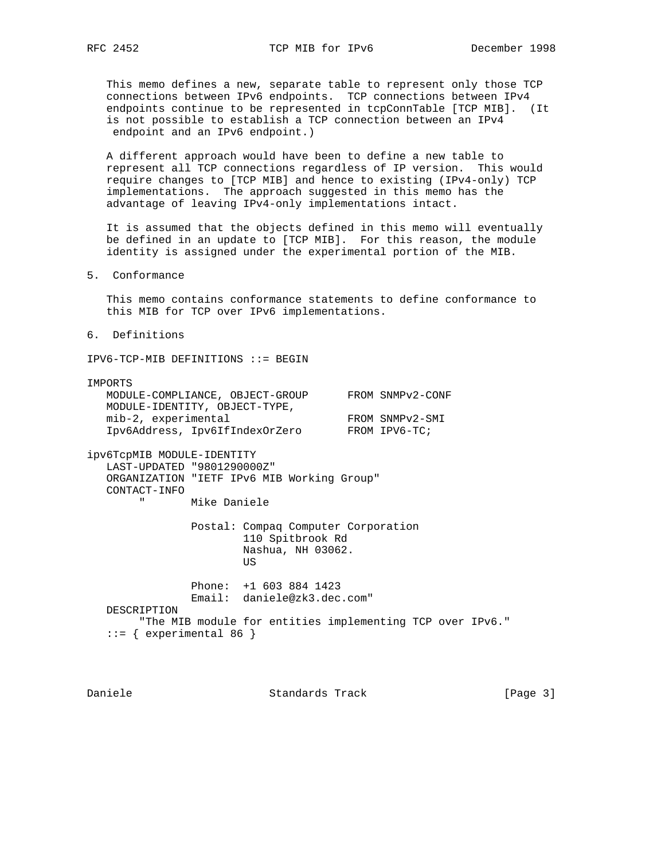This memo defines a new, separate table to represent only those TCP connections between IPv6 endpoints. TCP connections between IPv4 endpoints continue to be represented in tcpConnTable [TCP MIB]. (It is not possible to establish a TCP connection between an IPv4 endpoint and an IPv6 endpoint.)

 A different approach would have been to define a new table to represent all TCP connections regardless of IP version. This would require changes to [TCP MIB] and hence to existing (IPv4-only) TCP implementations. The approach suggested in this memo has the advantage of leaving IPv4-only implementations intact.

 It is assumed that the objects defined in this memo will eventually be defined in an update to [TCP MIB]. For this reason, the module identity is assigned under the experimental portion of the MIB.

5. Conformance

 This memo contains conformance statements to define conformance to this MIB for TCP over IPv6 implementations.

6. Definitions

IPV6-TCP-MIB DEFINITIONS ::= BEGIN

#### IMPORTS

| MODULE-COMPLIANCE, OBJECT-GROUP | FROM SNMPv2-CONF |
|---------------------------------|------------------|
| MODULE-IDENTITY, OBJECT-TYPE,   |                  |
| mib-2, experimental             | FROM SNMPv2-SMI  |
| Ipv6Address, Ipv6IfIndexOrZero  | FROM IPV6-TC;    |

ipv6TcpMIB MODULE-IDENTITY LAST-UPDATED "9801290000Z" ORGANIZATION "IETF IPv6 MIB Working Group" CONTACT-INFO

Mike Daniele

 Postal: Compaq Computer Corporation 110 Spitbrook Rd Nashua, NH 03062. **US** *US* 

 Phone: +1 603 884 1423 Email: daniele@zk3.dec.com" DESCRIPTION "The MIB module for entities implementing TCP over IPv6."  $::=$  { experimental 86 }

Daniele Standards Track [Page 3]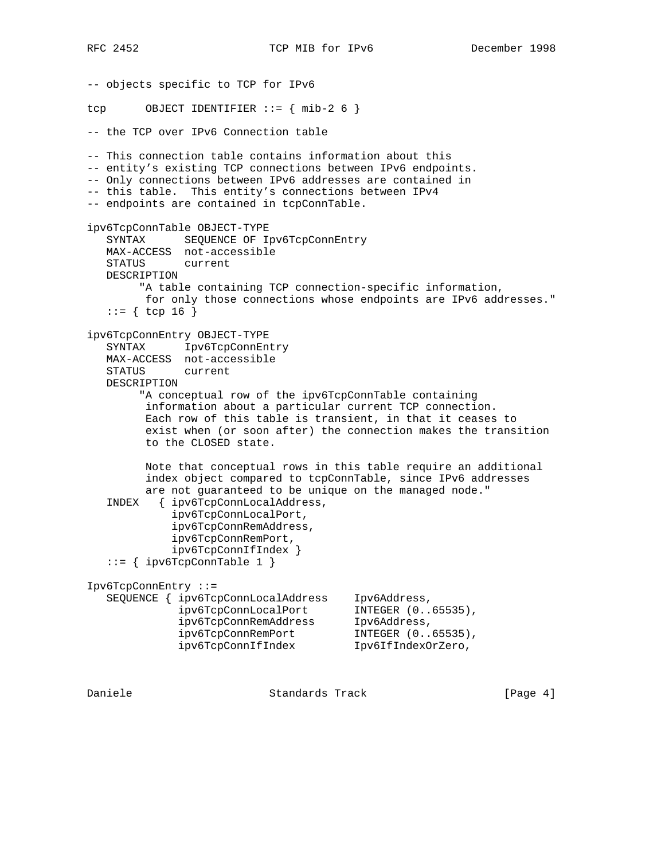RFC 2452 TCP MIB for IPv6 December 1998

-- objects specific to TCP for IPv6 tcp OBJECT IDENTIFIER  $:= \{ \text{min-2 6 } \}$ -- the TCP over IPv6 Connection table -- This connection table contains information about this -- entity's existing TCP connections between IPv6 endpoints. -- Only connections between IPv6 addresses are contained in -- this table. This entity's connections between IPv4 -- endpoints are contained in tcpConnTable. ipv6TcpConnTable OBJECT-TYPE SYNTAX SEQUENCE OF Ipv6TcpConnEntry MAX-ACCESS not-accessible STATUS current DESCRIPTION "A table containing TCP connection-specific information, for only those connections whose endpoints are IPv6 addresses."  $::=$  { tcp 16 } ipv6TcpConnEntry OBJECT-TYPE SYNTAX Ipv6TcpConnEntry MAX-ACCESS not-accessible STATUS current DESCRIPTION "A conceptual row of the ipv6TcpConnTable containing information about a particular current TCP connection. Each row of this table is transient, in that it ceases to exist when (or soon after) the connection makes the transition to the CLOSED state. Note that conceptual rows in this table require an additional index object compared to tcpConnTable, since IPv6 addresses are not guaranteed to be unique on the managed node." INDEX { ipv6TcpConnLocalAddress, ipv6TcpConnLocalPort, ipv6TcpConnRemAddress, ipv6TcpConnRemPort, ipv6TcpConnIfIndex } ::= { ipv6TcpConnTable 1 } Ipv6TcpConnEntry ::= SEQUENCE { ipv6TcpConnLocalAddress Ipv6Address, ipv6TcpConnLocalPort INTEGER (0..65535), ipv6TcpConnRemAddress Ipv6Address, ipv6TcpConnRemPort INTEGER (0..65535), ipv6TcpConnIfIndex Ipv6IfIndexOrZero,

Daniele Chamber Standards Track (Page 4)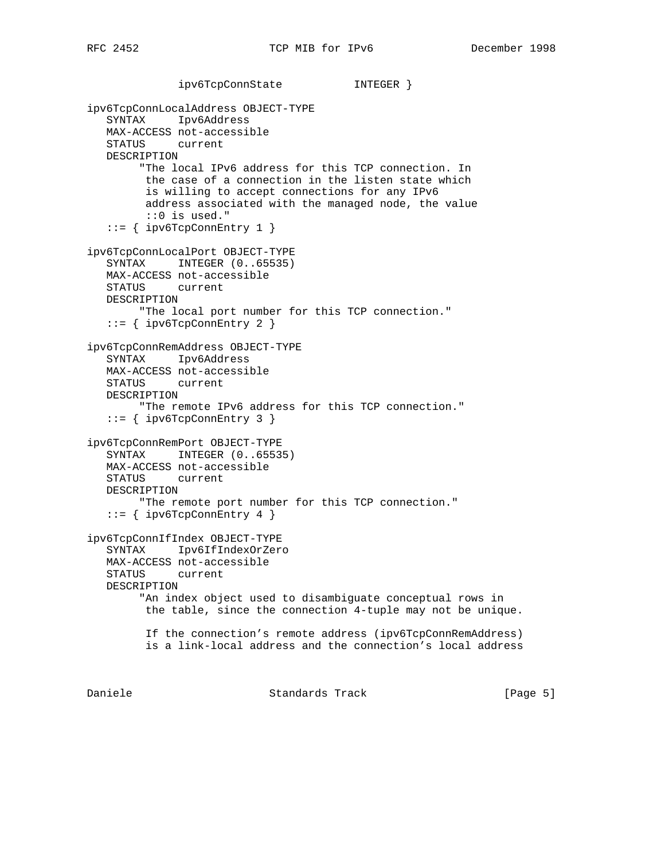```
 ipv6TcpConnState INTEGER }
ipv6TcpConnLocalAddress OBJECT-TYPE
    SYNTAX Ipv6Address
    MAX-ACCESS not-accessible
   STATUS current
   DESCRIPTION
         "The local IPv6 address for this TCP connection. In
         the case of a connection in the listen state which
         is willing to accept connections for any IPv6
         address associated with the managed node, the value
         ::0 is used."
    ::= { ipv6TcpConnEntry 1 }
ipv6TcpConnLocalPort OBJECT-TYPE
    SYNTAX INTEGER (0..65535)
    MAX-ACCESS not-accessible
    STATUS current
   DESCRIPTION
        "The local port number for this TCP connection."
    ::= { ipv6TcpConnEntry 2 }
ipv6TcpConnRemAddress OBJECT-TYPE
    SYNTAX Ipv6Address
   MAX-ACCESS not-accessible
   STATUS current
   DESCRIPTION
         "The remote IPv6 address for this TCP connection."
    ::= { ipv6TcpConnEntry 3 }
ipv6TcpConnRemPort OBJECT-TYPE
    SYNTAX INTEGER (0..65535)
   MAX-ACCESS not-accessible
   STATUS current
   DESCRIPTION
         "The remote port number for this TCP connection."
    ::= { ipv6TcpConnEntry 4 }
ipv6TcpConnIfIndex OBJECT-TYPE
    SYNTAX Ipv6IfIndexOrZero
   MAX-ACCESS not-accessible
   STATUS current
   DESCRIPTION
         "An index object used to disambiguate conceptual rows in
         the table, since the connection 4-tuple may not be unique.
         If the connection's remote address (ipv6TcpConnRemAddress)
         is a link-local address and the connection's local address
```
Daniele Standards Track [Page 5]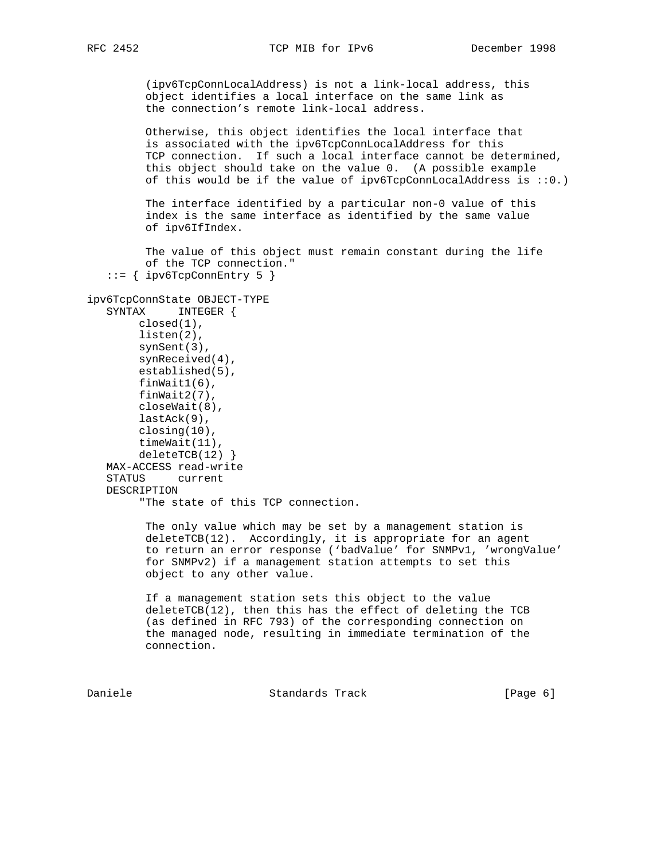(ipv6TcpConnLocalAddress) is not a link-local address, this object identifies a local interface on the same link as the connection's remote link-local address.

 Otherwise, this object identifies the local interface that is associated with the ipv6TcpConnLocalAddress for this TCP connection. If such a local interface cannot be determined, this object should take on the value 0. (A possible example of this would be if the value of  $ipv6TcpConnLocalAddress$  is  $::0.)$ 

 The interface identified by a particular non-0 value of this index is the same interface as identified by the same value of ipv6IfIndex.

 The value of this object must remain constant during the life of the TCP connection."  $::=$  { ipv6TcpConnEntry 5 }

```
ipv6TcpConnState OBJECT-TYPE
    SYNTAX INTEGER {
        closed(1),
         listen(2),
         synSent(3),
         synReceived(4),
         established(5),
         finWait1(6),
         finWait2(7),
         closeWait(8),
         lastAck(9),
         closing(10),
         timeWait(11),
         deleteTCB(12) }
    MAX-ACCESS read-write
    STATUS current
    DESCRIPTION
         "The state of this TCP connection.
```
 The only value which may be set by a management station is deleteTCB(12). Accordingly, it is appropriate for an agent to return an error response ('badValue' for SNMPv1, 'wrongValue' for SNMPv2) if a management station attempts to set this object to any other value.

 If a management station sets this object to the value deleteTCB(12), then this has the effect of deleting the TCB (as defined in RFC 793) of the corresponding connection on the managed node, resulting in immediate termination of the connection.

Daniele **Standards Track** [Page 6]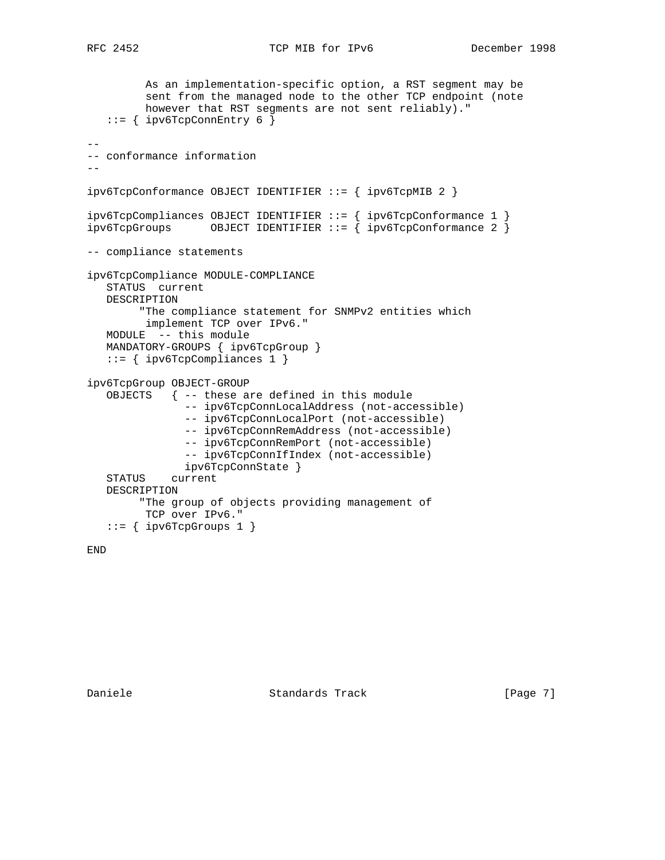```
 As an implementation-specific option, a RST segment may be
          sent from the managed node to the other TCP endpoint (note
          however that RST segments are not sent reliably)."
   ::= { ipv6TcpConnEntry 6 }
--
-- conformance information
--ipv6TcpConformance OBJECT IDENTIFIER ::= { ipv6TcpMIB 2 }
ipv6TcpCompliances OBJECT IDENTIFIER ::= { ipv6TcpConformance 1 }
ipv6TcpGrows OBJECT IDENTIFIER ::= { ipv6TcpConformance 2 }
-- compliance statements
ipv6TcpCompliance MODULE-COMPLIANCE
   STATUS current
   DESCRIPTION
        "The compliance statement for SNMPv2 entities which
         implement TCP over IPv6."
   MODULE -- this module
   MANDATORY-GROUPS { ipv6TcpGroup }
    ::= { ipv6TcpCompliances 1 }
ipv6TcpGroup OBJECT-GROUP
    OBJECTS { -- these are defined in this module
                -- ipv6TcpConnLocalAddress (not-accessible)
                -- ipv6TcpConnLocalPort (not-accessible)
                -- ipv6TcpConnRemAddress (not-accessible)
                -- ipv6TcpConnRemPort (not-accessible)
                -- ipv6TcpConnIfIndex (not-accessible)
                ipv6TcpConnState }
    STATUS current
   DESCRIPTION
         "The group of objects providing management of
         TCP over IPv6."
   ::= { ipv6TcpGroups 1 }
```
END

Daniele Standards Track [Page 7]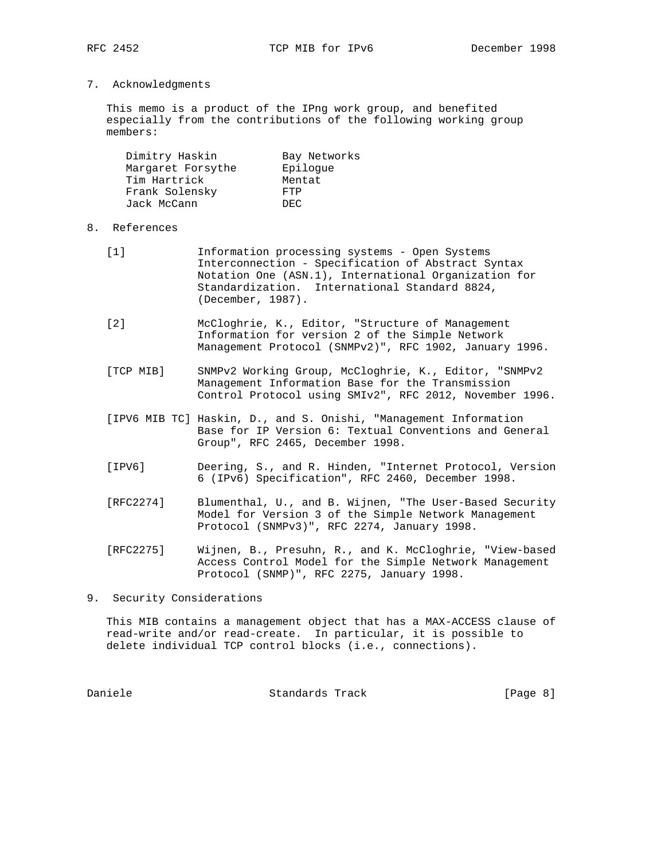7. Acknowledgments

 This memo is a product of the IPng work group, and benefited especially from the contributions of the following working group members:

| Dimitry Haskin    | Bay Networks |
|-------------------|--------------|
| Margaret Forsythe | Epiloque     |
| Tim Hartrick      | Mentat       |
| Frank Solensky    | FTP          |
| Jack McCann       | DEC.         |

# 8. References

- [1] Information processing systems Open Systems Interconnection - Specification of Abstract Syntax Notation One (ASN.1), International Organization for Standardization. International Standard 8824, (December, 1987).
- [2] McCloghrie, K., Editor, "Structure of Management Information for version 2 of the Simple Network Management Protocol (SNMPv2)", RFC 1902, January 1996.
- [TCP MIB] SNMPv2 Working Group, McCloghrie, K., Editor, "SNMPv2 Management Information Base for the Transmission Control Protocol using SMIv2", RFC 2012, November 1996.
- [IPV6 MIB TC] Haskin, D., and S. Onishi, "Management Information Base for IP Version 6: Textual Conventions and General Group", RFC 2465, December 1998.
- [IPV6] Deering, S., and R. Hinden, "Internet Protocol, Version 6 (IPv6) Specification", RFC 2460, December 1998.
- [RFC2274] Blumenthal, U., and B. Wijnen, "The User-Based Security Model for Version 3 of the Simple Network Management Protocol (SNMPv3)", RFC 2274, January 1998.
- [RFC2275] Wijnen, B., Presuhn, R., and K. McCloghrie, "View-based Access Control Model for the Simple Network Management Protocol (SNMP)", RFC 2275, January 1998.
- 9. Security Considerations

 This MIB contains a management object that has a MAX-ACCESS clause of read-write and/or read-create. In particular, it is possible to delete individual TCP control blocks (i.e., connections).

Daniele Chamber Standards Track Chamber (Page 8)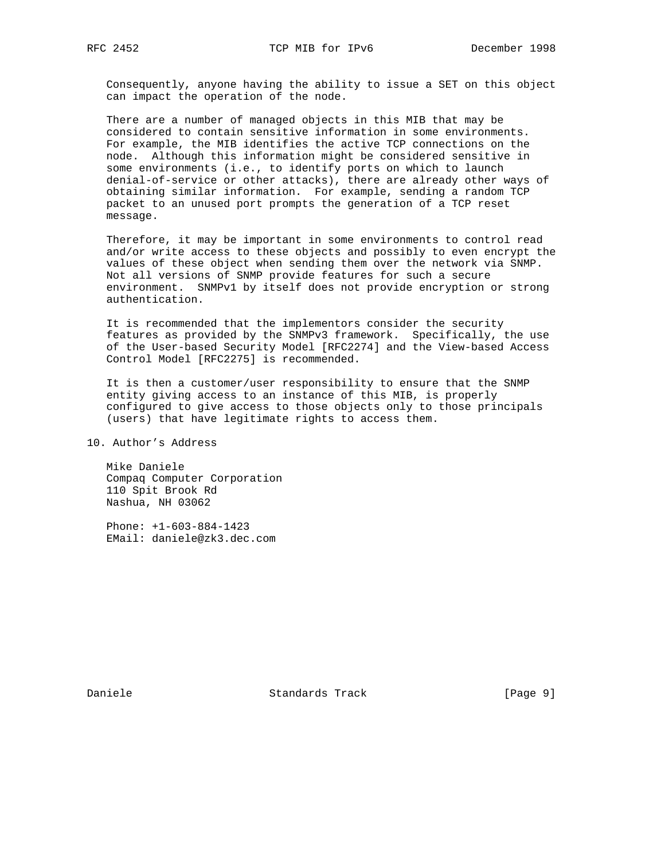Consequently, anyone having the ability to issue a SET on this object can impact the operation of the node.

 There are a number of managed objects in this MIB that may be considered to contain sensitive information in some environments. For example, the MIB identifies the active TCP connections on the node. Although this information might be considered sensitive in some environments (i.e., to identify ports on which to launch denial-of-service or other attacks), there are already other ways of obtaining similar information. For example, sending a random TCP packet to an unused port prompts the generation of a TCP reset message.

 Therefore, it may be important in some environments to control read and/or write access to these objects and possibly to even encrypt the values of these object when sending them over the network via SNMP. Not all versions of SNMP provide features for such a secure environment. SNMPv1 by itself does not provide encryption or strong authentication.

 It is recommended that the implementors consider the security features as provided by the SNMPv3 framework. Specifically, the use of the User-based Security Model [RFC2274] and the View-based Access Control Model [RFC2275] is recommended.

 It is then a customer/user responsibility to ensure that the SNMP entity giving access to an instance of this MIB, is properly configured to give access to those objects only to those principals (users) that have legitimate rights to access them.

10. Author's Address

 Mike Daniele Compaq Computer Corporation 110 Spit Brook Rd Nashua, NH 03062

 Phone: +1-603-884-1423 EMail: daniele@zk3.dec.com

Daniele Standards Track [Page 9]